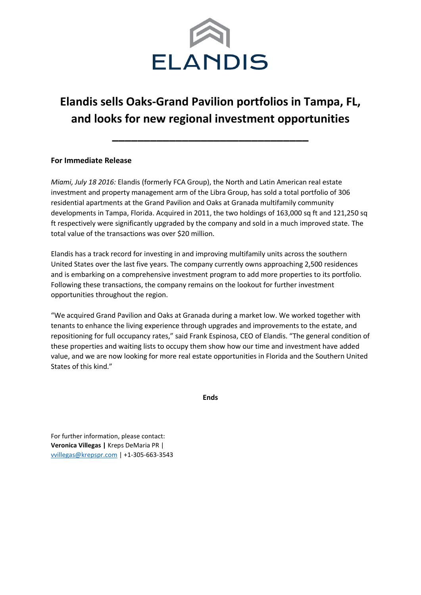

## **Elandis sells Oaks-Grand Pavilion portfolios in Tampa, FL, and looks for new regional investment opportunities**

**\_\_\_\_\_\_\_\_\_\_\_\_\_\_\_\_\_\_\_\_\_\_\_\_\_\_\_\_\_\_\_**

## **For Immediate Release**

*Miami, July 18 2016:* Elandis (formerly FCA Group), the North and Latin American real estate investment and property management arm of the Libra Group, has sold a total portfolio of 306 residential apartments at the Grand Pavilion and Oaks at Granada multifamily community developments in Tampa, Florida. Acquired in 2011, the two holdings of 163,000 sq ft and 121,250 sq ft respectively were significantly upgraded by the company and sold in a much improved state. The total value of the transactions was over \$20 million.

Elandis has a track record for investing in and improving multifamily units across the southern United States over the last five years. The company currently owns approaching 2,500 residences and is embarking on a comprehensive investment program to add more properties to its portfolio. Following these transactions, the company remains on the lookout for further investment opportunities throughout the region.

"We acquired Grand Pavilion and Oaks at Granada during a market low. We worked together with tenants to enhance the living experience through upgrades and improvements to the estate, and repositioning for full occupancy rates," said Frank Espinosa, CEO of Elandis. "The general condition of these properties and waiting lists to occupy them show how our time and investment have added value, and we are now looking for more real estate opportunities in Florida and the Southern United States of this kind."

**Ends**

For further information, please contact: **Veronica Villegas |** Kreps DeMaria PR | [vvillegas@krepspr.com](mailto:vvillegas@krepspr.com) | +1-305-663-3543